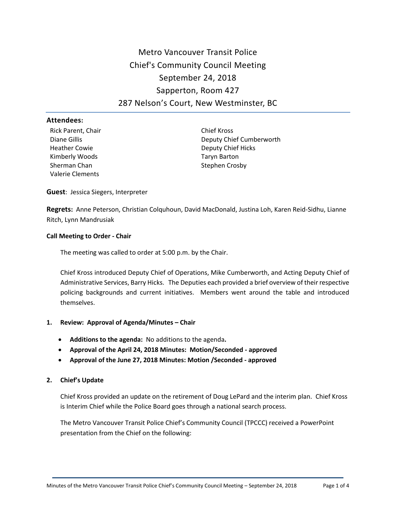# Metro Vancouver Transit Police Chief's Community Council Meeting September 24, 2018 Sapperton, Room 427 287 Nelson's Court, New Westminster, BC

#### **Attendees:**

Rick Parent, Chair Diane Gillis Heather Cowie Kimberly Woods Sherman Chan Valerie Clements

Chief Kross Deputy Chief Cumberworth Deputy Chief Hicks Taryn Barton Stephen Crosby

**Guest**: Jessica Siegers, Interpreter

**Regrets:** Anne Peterson, Christian Colquhoun, David MacDonald, Justina Loh, Karen Reid-Sidhu, Lianne Ritch, Lynn Mandrusiak

## **Call Meeting to Order - Chair**

The meeting was called to order at 5:00 p.m. by the Chair.

Chief Kross introduced Deputy Chief of Operations, Mike Cumberworth, and Acting Deputy Chief of Administrative Services, Barry Hicks. The Deputies each provided a brief overview of their respective policing backgrounds and current initiatives. Members went around the table and introduced themselves.

## **1. Review: Approval of Agenda/Minutes – Chair**

- **Additions to the agenda:** No additions to the agenda**.**
- **Approval of the April 24, 2018 Minutes: Motion/Seconded - approved**
- **Approval of the June 27, 2018 Minutes: Motion /Seconded - approved**

## **2. Chief's Update**

Chief Kross provided an update on the retirement of Doug LePard and the interim plan. Chief Kross is Interim Chief while the Police Board goes through a national search process.

The Metro Vancouver Transit Police Chief's Community Council (TPCCC) received a PowerPoint presentation from the Chief on the following: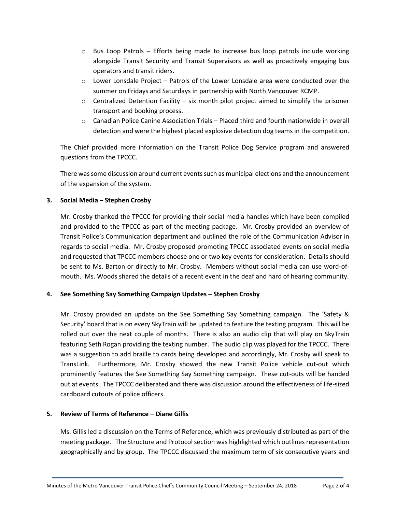- $\circ$  Bus Loop Patrols Efforts being made to increase bus loop patrols include working alongside Transit Security and Transit Supervisors as well as proactively engaging bus operators and transit riders.
- $\circ$  Lower Lonsdale Project Patrols of the Lower Lonsdale area were conducted over the summer on Fridays and Saturdays in partnership with North Vancouver RCMP.
- $\circ$  Centralized Detention Facility six month pilot project aimed to simplify the prisoner transport and booking process.
- o Canadian Police Canine Association Trials Placed third and fourth nationwide in overall detection and were the highest placed explosive detection dog teams in the competition.

The Chief provided more information on the Transit Police Dog Service program and answered questions from the TPCCC.

There was some discussion around current events such as municipal elections and the announcement of the expansion of the system.

## **3. Social Media – Stephen Crosby**

Mr. Crosby thanked the TPCCC for providing their social media handles which have been compiled and provided to the TPCCC as part of the meeting package. Mr. Crosby provided an overview of Transit Police's Communication department and outlined the role of the Communication Advisor in regards to social media. Mr. Crosby proposed promoting TPCCC associated events on social media and requested that TPCCC members choose one or two key events for consideration. Details should be sent to Ms. Barton or directly to Mr. Crosby. Members without social media can use word-ofmouth. Ms. Woods shared the details of a recent event in the deaf and hard of hearing community.

## **4. See Something Say Something Campaign Updates – Stephen Crosby**

Mr. Crosby provided an update on the See Something Say Something campaign. The 'Safety & Security' board that is on every SkyTrain will be updated to feature the texting program. This will be rolled out over the next couple of months. There is also an audio clip that will play on SkyTrain featuring Seth Rogan providing the texting number. The audio clip was played for the TPCCC. There was a suggestion to add braille to cards being developed and accordingly, Mr. Crosby will speak to TransLink. Furthermore, Mr. Crosby showed the new Transit Police vehicle cut-out which prominently features the See Something Say Something campaign. These cut-outs will be handed out at events. The TPCCC deliberated and there was discussion around the effectiveness of life-sized cardboard cutouts of police officers.

## **5. Review of Terms of Reference – Diane Gillis**

Ms. Gillis led a discussion on the Terms of Reference, which was previously distributed as part of the meeting package. The Structure and Protocol section was highlighted which outlines representation geographically and by group. The TPCCC discussed the maximum term of six consecutive years and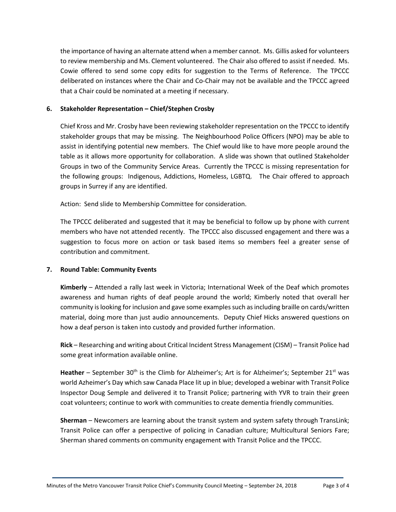the importance of having an alternate attend when a member cannot. Ms. Gillis asked for volunteers to review membership and Ms. Clement volunteered. The Chair also offered to assist if needed. Ms. Cowie offered to send some copy edits for suggestion to the Terms of Reference. The TPCCC deliberated on instances where the Chair and Co-Chair may not be available and the TPCCC agreed that a Chair could be nominated at a meeting if necessary.

#### **6. Stakeholder Representation – Chief/Stephen Crosby**

Chief Kross and Mr. Crosby have been reviewing stakeholder representation on the TPCCC to identify stakeholder groups that may be missing. The Neighbourhood Police Officers (NPO) may be able to assist in identifying potential new members. The Chief would like to have more people around the table as it allows more opportunity for collaboration. A slide was shown that outlined Stakeholder Groups in two of the Community Service Areas. Currently the TPCCC is missing representation for the following groups: Indigenous, Addictions, Homeless, LGBTQ. The Chair offered to approach groups in Surrey if any are identified.

Action: Send slide to Membership Committee for consideration.

The TPCCC deliberated and suggested that it may be beneficial to follow up by phone with current members who have not attended recently. The TPCCC also discussed engagement and there was a suggestion to focus more on action or task based items so members feel a greater sense of contribution and commitment.

## **7. Round Table: Community Events**

**Kimberly** – Attended a rally last week in Victoria; International Week of the Deaf which promotes awareness and human rights of deaf people around the world; Kimberly noted that overall her community islooking for inclusion and gave some examples such as including braille on cards/written material, doing more than just audio announcements. Deputy Chief Hicks answered questions on how a deaf person is taken into custody and provided further information.

**Rick** – Researching and writing about Critical Incident Stress Management (CISM) – Transit Police had some great information available online.

**Heather** – September 30<sup>th</sup> is the Climb for Alzheimer's; Art is for Alzheimer's; September 21<sup>st</sup> was world Azheimer's Day which saw Canada Place lit up in blue; developed a webinar with Transit Police Inspector Doug Semple and delivered it to Transit Police; partnering with YVR to train their green coat volunteers; continue to work with communities to create dementia friendly communities.

**Sherman** – Newcomers are learning about the transit system and system safety through TransLink; Transit Police can offer a perspective of policing in Canadian culture; Multicultural Seniors Fare; Sherman shared comments on community engagement with Transit Police and the TPCCC.